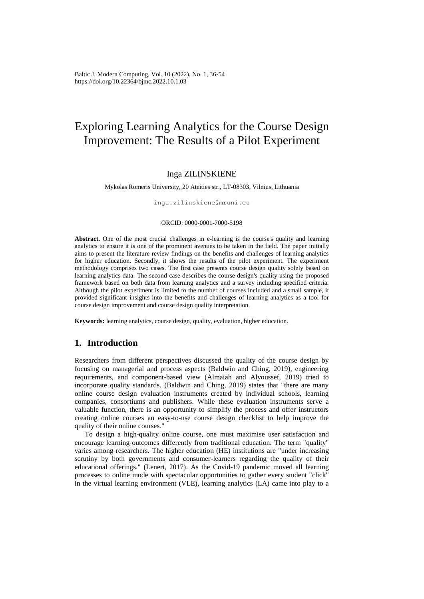Baltic J. Modern Computing, Vol. 10 (2022), No. 1, 36-54 https://doi.org/10.22364/bjmc.2022.10.1.03

# Exploring Learning Analytics for the Course Design Improvement: The Results of a Pilot Experiment

# Inga ZILINSKIENE

Mykolas Romeris University, 20 Ateities str., LT-08303, Vilnius, Lithuania

inga.zilinskiene@mruni.eu

### ORCID: 0000-0001-7000-5198

**Abstract.** One of the most crucial challenges in e-learning is the course's quality and learning analytics to ensure it is one of the prominent avenues to be taken in the field. The paper initially aims to present the literature review findings on the benefits and challenges of learning analytics for higher education. Secondly, it shows the results of the pilot experiment. The experiment methodology comprises two cases. The first case presents course design quality solely based on learning analytics data. The second case describes the course design's quality using the proposed framework based on both data from learning analytics and a survey including specified criteria. Although the pilot experiment is limited to the number of courses included and a small sample, it provided significant insights into the benefits and challenges of learning analytics as a tool for course design improvement and course design quality interpretation.

**Keywords:** learning analytics, course design, quality, evaluation, higher education.

# **1. Introduction**

Researchers from different perspectives discussed the quality of the course design by focusing on managerial and process aspects (Baldwin and Ching, 2019), engineering requirements, and component-based view (Almaiah and Alyoussef, 2019) tried to incorporate quality standards. (Baldwin and Ching, 2019) states that "there are many online course design evaluation instruments created by individual schools, learning companies, consortiums and publishers. While these evaluation instruments serve a valuable function, there is an opportunity to simplify the process and offer instructors creating online courses an easy-to-use course design checklist to help improve the quality of their online courses."

To design a high-quality online course, one must maximise user satisfaction and encourage learning outcomes differently from traditional education. The term "quality" varies among researchers. The higher education (HE) institutions are "under increasing scrutiny by both governments and consumer-learners regarding the quality of their educational offerings." (Lenert, 2017). As the Covid-19 pandemic moved all learning processes to online mode with spectacular opportunities to gather every student "click" in the virtual learning environment (VLE), learning analytics (LA) came into play to a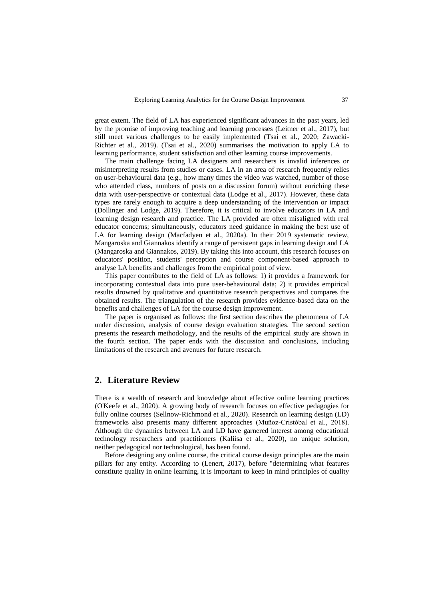great extent. The field of LA has experienced significant advances in the past years, led by the promise of improving teaching and learning processes (Leitner et al., 2017), but still meet various challenges to be easily implemented (Tsai et al., 2020; Zawacki-Richter et al., 2019). (Tsai et al., 2020) summarises the motivation to apply LA to learning performance, student satisfaction and other learning course improvements.

The main challenge facing LA designers and researchers is invalid inferences or misinterpreting results from studies or cases. LA in an area of research frequently relies on user-behavioural data (e.g., how many times the video was watched, number of those who attended class, numbers of posts on a discussion forum) without enriching these data with user-perspective or contextual data (Lodge et al., 2017). However, these data types are rarely enough to acquire a deep understanding of the intervention or impact (Dollinger and Lodge, 2019). Therefore, it is critical to involve educators in LA and learning design research and practice. The LA provided are often misaligned with real educator concerns; simultaneously, educators need guidance in making the best use of LA for learning design (Macfadyen et al., 2020a). In their 2019 systematic review, Mangaroska and Giannakos identify a range of persistent gaps in learning design and LA (Mangaroska and Giannakos, 2019). By taking this into account, this research focuses on educators' position, students' perception and course component-based approach to analyse LA benefits and challenges from the empirical point of view.

This paper contributes to the field of LA as follows: 1) it provides a framework for incorporating contextual data into pure user-behavioural data; 2) it provides empirical results drowned by qualitative and quantitative research perspectives and compares the obtained results. The triangulation of the research provides evidence-based data on [the](https://www.emerald.com/insight/content/doi/10.1108/IDD-06-2018-0018/full/html)  [benefits and challenges of](https://www.emerald.com/insight/content/doi/10.1108/IDD-06-2018-0018/full/html) LA for the course design improvement.

The paper is organised as follows: the first section describes the phenomena of LA under discussion, analysis of course design evaluation strategies. The second section presents the research methodology, and the results of the empirical study are shown in the fourth section. The paper ends with the discussion and conclusions, including limitations of the research and avenues for future research.

# **2. Literature Review**

There is a wealth of research and knowledge about effective online learning practices (O'Keefe et al., 2020). A growing body of research focuses on effective pedagogies for fully online courses (Sellnow-Richmond et al., 2020). Research on learning design (LD) frameworks also presents many different approaches (Muñoz-Cristóbal et al., 2018). Although the dynamics between LA and LD have garnered interest among educational technology researchers and practitioners (Kaliisa et al., 2020), no unique solution, neither pedagogical nor technological, has been found.

Before designing any online course, the critical course design principles are the main pillars for any entity. According to (Lenert, 2017), before "determining what features constitute quality in online learning, it is important to keep in mind principles of quality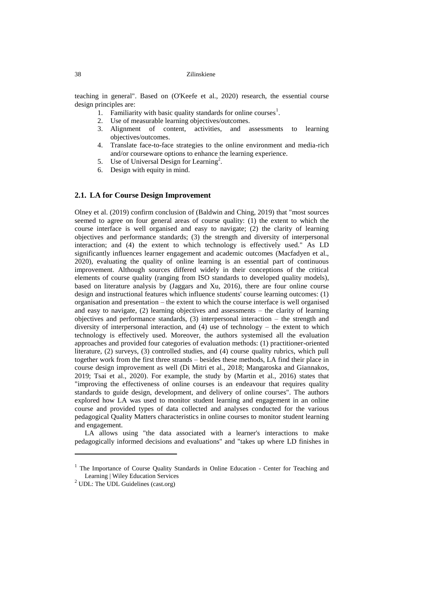teaching in general". Based on (O'Keefe et al., 2020) research, the essential course design principles are:

- 1. Familiarity with basic quality standards for online courses<sup>1</sup>.
- 2. Use of measurable learning objectives/outcomes.
- 3. Alignment of content, activities, and assessments to learning objectives/outcomes.
- 4. Translate face-to-face strategies to the online environment and media-rich and/or courseware options to enhance the learning experience.
- 5. Use of Universal Design for Learning<sup>2</sup>.
- 6. Design with equity in mind.

## **2.1. LA for Course Design Improvement**

Olney et al. (2019) confirm conclusion of (Baldwin and Ching, 2019) that "most sources seemed to agree on four general areas of course quality: (1) the extent to which the course interface is well organised and easy to navigate; (2) the clarity of learning objectives and performance standards; (3) the strength and diversity of interpersonal interaction; and (4) the extent to which technology is effectively used." As LD significantly influences learner engagement and academic outcomes (Macfadyen et al., 2020), evaluating the quality of online learning is an essential part of continuous improvement. Although sources differed widely in their conceptions of the critical elements of course quality (ranging from ISO standards to developed quality models), based on literature analysis by (Jaggars and Xu, 2016), there are four online course design and instructional features which influence students' course learning outcomes: (1) organisation and presentation – the extent to which the course interface is well organised and easy to navigate, (2) learning objectives and assessments – the clarity of learning objectives and performance standards, (3) interpersonal interaction – the strength and diversity of interpersonal interaction, and (4) use of technology – the extent to which technology is effectively used. Moreover, the authors systemised all the evaluation approaches and provided four categories of evaluation methods: (1) practitioner-oriented literature, (2) surveys, (3) controlled studies, and (4) course quality rubrics, which pull together work from the first three strands – besides these methods, LA find their place in course design improvement as well (Di Mitri et al., 2018; Mangaroska and Giannakos, 2019; Tsai et al., 2020). For example, the study by (Martin et al., 2016) states that "improving the effectiveness of online courses is an endeavour that requires quality standards to guide design, development, and delivery of online courses". The authors explored how LA was used to monitor student learning and engagement in an online course and provided types of data collected and analyses conducted for the various pedagogical Quality Matters characteristics in online courses to monitor student learning and engagement.

LA allows using "the data associated with a learner's interactions to make pedagogically informed decisions and evaluations" and "takes up where LD finishes in

 $\overline{a}$ 

<sup>&</sup>lt;sup>1</sup> [The Importance of Course Quality Standards in Online Education -](https://ctl.wiley.com/importance-course-quality-standards-online-education/) Center for Teaching and [Learning | Wiley Education Services](https://ctl.wiley.com/importance-course-quality-standards-online-education/)

 $<sup>2</sup>$  [UDL: The UDL Guidelines \(cast.org\)](https://udlguidelines.cast.org/)</sup>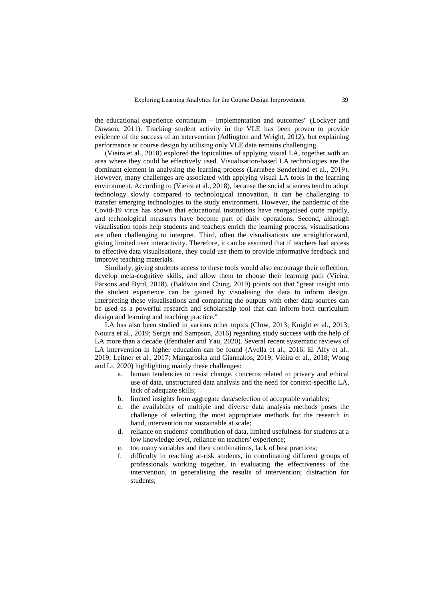the educational experience continuum – implementation and outcomes" (Lockyer and Dawson, 2011). Tracking student activity in the VLE has been proven to provide evidence of the success of an intervention (Adlington and Wright, 2012), but explaining performance or course design by utilising only VLE data remains challenging.

(Vieira et al., 2018) explored the topicalities of applying visual LA, together with an area where they could be effectively used. Visualisation-based LA technologies are the dominant element in analysing the learning process (Larrabee Sønderlund et al., 2019). However, many challenges are associated with applying visual LA tools in the learning environment. According to (Vieira et al., 2018), because the social sciences tend to adopt technology slowly compared to technological innovation, it can be challenging to transfer emerging technologies to the study environment. However, the pandemic of the Covid-19 virus has shown that educational institutions have reorganised quite rapidly, and technological measures have become part of daily operations. Second, although visualisation tools help students and teachers enrich the learning process, visualisations are often challenging to interpret. Third, often the visualisations are straightforward, giving limited user interactivity. Therefore, it can be assumed that if teachers had access to effective data visualisations, they could use them to provide informative feedback and improve teaching materials.

Similarly, giving students access to these tools would also encourage their reflection, develop meta-cognitive skills, and allow them to choose their learning path (Vieira, Parsons and Byrd, 2018). (Baldwin and Ching, 2019) points out that "great insight into the student experience can be gained by visualising the data to inform design. Interpreting these visualisations and comparing the outputs with other data sources can be used as a powerful research and scholarship tool that can inform both curriculum design and learning and teaching practice."

LA has also been studied in various other topics (Clow, 2013; Knight et al., 2013; Nouira et al., 2019; Sergis and Sampson, 2016) regarding study success with the help of LA more than a decade (Ifenthaler and Yau, 2020). Several recent systematic reviews of LA intervention in higher education can be found (Avella et al., 2016; El Alfy et al., 2019; Leitner et al., 2017; Mangaroska and Giannakos, 2019; Vieira et al., 2018; Wong and Li, 2020) highlighting mainly these challenges:

- a. human tendencies to resist change, concerns related to privacy and ethical use of data, unstructured data analysis and the need for context-specific LA, lack of adequate skills;
- b. limited insights from aggregate data/selection of acceptable variables;
- c. the availability of multiple and diverse data analysis methods poses the challenge of selecting the most appropriate methods for the research in hand, intervention not sustainable at scale;
- d. reliance on students' contribution of data, limited usefulness for students at a low knowledge level, reliance on teachers' experience;
- e. too many variables and their combinations, lack of best practices;
- f. difficulty in reaching at-risk students, in coordinating different groups of professionals working together, in evaluating the effectiveness of the intervention, in generalising the results of intervention; distraction for students;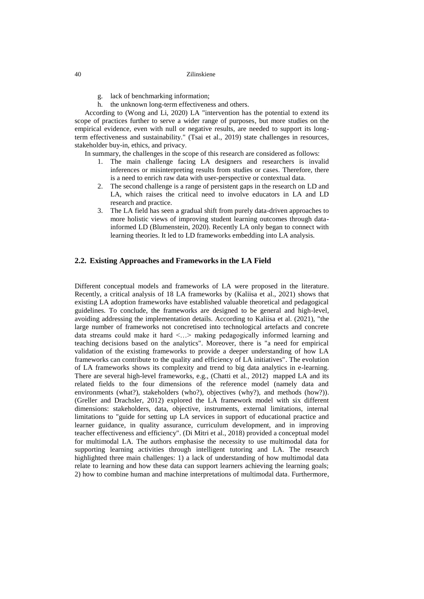- g. lack of benchmarking information;
- h. the unknown long-term effectiveness and others.

According to (Wong and Li, 2020) LA "intervention has the potential to extend its scope of practices further to serve a wider range of purposes, but more studies on the empirical evidence, even with null or negative results, are needed to support its longterm effectiveness and sustainability." (Tsai et al., 2019) state challenges in resources, stakeholder buy-in, ethics, and privacy.

In summary, the challenges in the scope of this research are considered as follows:

- 1. The main challenge facing LA designers and researchers is invalid inferences or misinterpreting results from studies or cases. Therefore, there is a need to enrich raw data with user-perspective or contextual data.
- 2. The second challenge is a range of persistent gaps in the research on LD and LA, which raises the critical need to involve educators in LA and LD research and practice.
- 3. The LA field has seen a gradual shift from purely data-driven approaches to more holistic views of improving student learning outcomes through datainformed LD (Blumenstein, 2020). Recently LA only began to connect with learning theories. It led to LD frameworks embedding into LA analysis.

# **2.2. Existing Approaches and Frameworks in the LA Field**

Different conceptual models and frameworks of LA were proposed in the literature. Recently, a critical analysis of 18 LA frameworks by (Kaliisa et al., 2021) shows that existing LA adoption frameworks have established valuable theoretical and pedagogical guidelines. To conclude, the frameworks are designed to be general and high-level, avoiding addressing the implementation details. According to Kaliisa et al. (2021), "the large number of frameworks not concretised into technological artefacts and concrete data streams could make it hard <…> making pedagogically informed learning and teaching decisions based on the analytics". Moreover, there is "a need for empirical validation of the existing frameworks to provide a deeper understanding of how LA frameworks can contribute to the quality and efficiency of LA initiatives". The evolution of LA frameworks shows its complexity and trend to big data analytics in e-learning. There are several high-level frameworks, e.g., (Chatti et al., 2012) mapped LA and its related fields to the four dimensions of the reference model (namely data and environments (what?), stakeholders (who?), objectives (why?), and methods (how?)). (Greller and Drachsler, 2012) explored the LA framework model with six different dimensions: stakeholders, data, objective, instruments, external limitations, internal limitations to "guide for setting up LA services in support of educational practice and learner guidance, in quality assurance, curriculum development, and in improving teacher effectiveness and efficiency". (Di Mitri et al., 2018) provided a conceptual model for multimodal LA. The authors emphasise the necessity to use multimodal data for supporting learning activities through intelligent tutoring and LA. The research highlighted three main challenges: 1) a lack of understanding of how multimodal data relate to learning and how these data can support learners achieving the learning goals; 2) how to combine human and machine interpretations of multimodal data. Furthermore,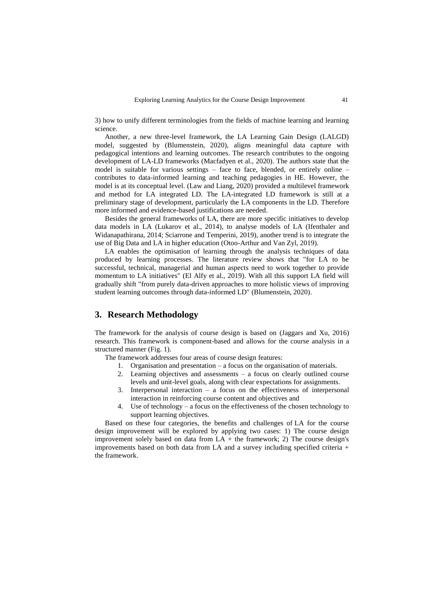3) how to unify different terminologies from the fields of machine learning and learning science.

Another, a new three-level framework, the LA Learning Gain Design (LALGD) model, suggested by (Blumenstein, 2020), aligns meaningful data capture with pedagogical intentions and learning outcomes. The research contributes to the ongoing development of LA-LD frameworks (Macfadyen et al., 2020). The authors state that the model is suitable for various settings – face to face, blended, or entirely online – contributes to data-informed learning and teaching pedagogies in HE. However, the model is at its conceptual level. (Law and Liang, 2020) provided a multilevel framework and method for LA integrated LD. The LA-integrated LD framework is still at a preliminary stage of development, particularly the LA components in the LD. Therefore more informed and evidence-based justifications are needed.

Besides the general frameworks of LA, there are more specific initiatives to develop data models in LA (Lukarov et al., 2014), to analyse models of LA (Ifenthaler and Widanapathirana, 2014; Sciarrone and Temperini, 2019), another trend is to integrate the use of Big Data and LA in higher education (Otoo-Arthur and Van Zyl, 2019).

LA enables the optimisation of learning through the analysis techniques of data produced by learning processes. The literature review shows that "for LA to be successful, technical, managerial and human aspects need to work together to provide momentum to LA initiatives" (El Alfy et al., 2019). With all this support LA field will gradually shift "from purely data-driven approaches to more holistic views of improving student learning outcomes through data-informed LD" (Blumenstein, 2020).

# **3. Research Methodology**

The framework for the analysis of course design is based on (Jaggars and Xu, 2016) research. This framework is component-based and allows for the course analysis in a structured manner (Fig. 1).

The framework addresses four areas of course design features:

- 1. Organisation and presentation a focus on the organisation of materials.
- 2. Learning objectives and assessments a focus on clearly outlined course levels and unit-level goals, along with clear expectations for assignments.
- 3. Interpersonal interaction a focus on the effectiveness of interpersonal interaction in reinforcing course content and objectives and
- 4. Use of technology a focus on the effectiveness of the chosen technology to support learning objectives.

Based on these four categories, [the benefits and challenges of](https://www.emerald.com/insight/content/doi/10.1108/IDD-06-2018-0018/full/html) LA for the course design improvement will be explored by applying two cases: 1) The course design improvement solely based on data from  $LA +$  the framework; 2) The course design's improvements based on both data from LA and a survey including specified criteria + the framework.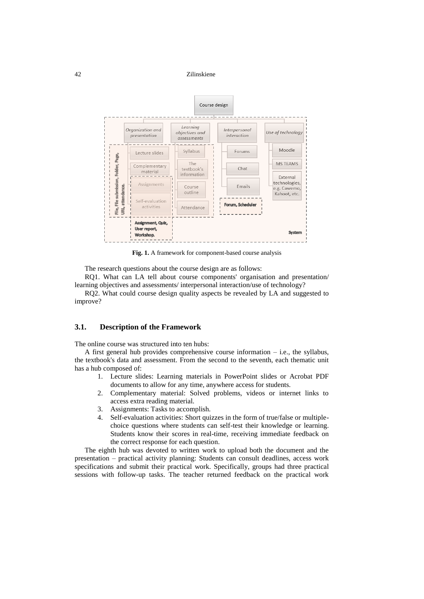

**Fig. 1.** A framework for component-based course analysis

The research questions about the course design are as follows:

RQ1. What can LA tell about course components' organisation and presentation/ learning objectives and assessments/ interpersonal interaction/use of technology?

RQ2. What could course design quality aspects be revealed by LA and suggested to improve?

### **3.1. Description of the Framework**

The online course was structured into ten hubs:

A first general hub provides comprehensive course information – i.e., the syllabus, the textbook's data and assessment. From the second to the seventh, each thematic unit has a hub composed of:

- 1. Lecture slides: Learning materials in PowerPoint slides or Acrobat PDF documents to allow for any time, anywhere access for students.
- 2. Complementary material: Solved problems, videos or internet links to access extra reading material.
- 3. Assignments: Tasks to accomplish.
- 4. Self-evaluation activities: Short quizzes in the form of true/false or multiplechoice questions where students can self-test their knowledge or learning. Students know their scores in real-time, receiving immediate feedback on the correct response for each question.

The eighth hub was devoted to written work to upload both the document and the presentation – practical activity planning: Students can consult deadlines, access work specifications and submit their practical work. Specifically, groups had three practical sessions with follow-up tasks. The teacher returned feedback on the practical work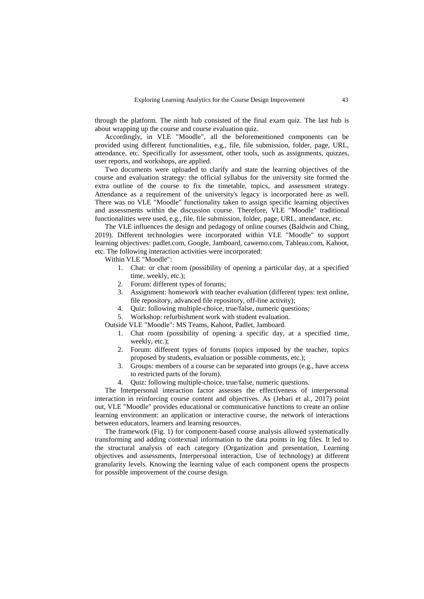through the platform. The ninth hub consisted of the final exam quiz. The last hub is about wrapping up the course and course evaluation quiz.

Accordingly, in VLE "Moodle", all the beforementioned components can be provided using different functionalities, e.g., file, file submission, folder, page, URL, attendance, etc. Specifically for assessment, other tools, such as assignments, quizzes, user reports, and workshops, are applied.

Two documents were uploaded to clarify and state the learning objectives of the course and evaluation strategy: the official syllabus for the university site formed the extra outline of the course to fix the timetable, topics, and assessment strategy. Attendance as a requirement of the university's legacy is incorporated here as well. There was no VLE "Moodle" functionality taken to assign specific learning objectives and assessments within the discussion course. Therefore, VLE "Moodle" traditional functionalities were used, e.g., file, file submission, folder, page, URL, attendance, etc.

The VLE influences the design and pedagogy of online courses (Baldwin and Ching, 2019). Different technologies were incorporated within VLE "Moodle" to support learning objectives: padlet.com, Google, Jamboard, cawemo.com, Tableau.com, Kahoot, etc. The following interaction activities were incorporated:

Within VLE "Moodle":

- 1. Chat: or chat room (possibility of opening a particular day, at a specified time, weekly, etc.);
- 2. Forum: different types of forums;
- 3. Assignment: homework with teacher evaluation (different types: text online, file repository, advanced file repository, off-line activity);
- 4. Quiz: following multiple-choice, true/false, numeric questions;
- 5. Workshop: refurbishment work with student evaluation.

Outside VLE "Moodle": MS Teams, Kahoot, Padlet, Jamboard.

- 1. Chat room (possibility of opening a specific day, at a specified time, weekly, etc.);
- 2. Forum: different types of forums (topics imposed by the teacher, topics proposed by students, evaluation or possible comments, etc.);
- 3. Groups: members of a course can be separated into groups (e.g., have access to restricted parts of the forum).
- 4. Quiz: following multiple-choice, true/false, numeric questions.

The Interpersonal interaction factor assesses the effectiveness of interpersonal interaction in reinforcing course content and objectives. As (Jebari et al., 2017) point out, VLE "Moodle" provides educational or communicative functions to create an online learning environment: an application or interactive course, the network of interactions between educators, learners and learning resources.

The framework (Fig. 1) for component-based course analysis allowed systematically transforming and adding contextual information to the data points in log files. It led to the structural analysis of each category (Organization and presentation, Learning objectives and assessments, Interpersonal interaction, Use of technology) at different granularity levels. Knowing the learning value of each component opens the prospects for possible improvement of the course design.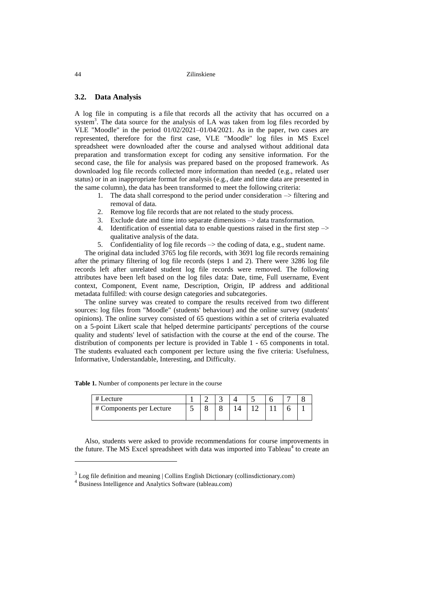### **3.2. Data Analysis**

A log file in computing is a [file](https://www.collinsdictionary.com/dictionary/english/file) that records all the activity that has occurred on a system<sup>3</sup>. The data source for the analysis of LA was taken from log files recorded by VLE "Moodle" in the period  $01/02/2021-01/04/2021$ . As in the paper, two cases are represented, therefore for the first case, VLE "Moodle" log files in MS Excel spreadsheet were downloaded after the course and analysed without additional data preparation and transformation except for coding any sensitive information. For the second case, the file for analysis was prepared based on the proposed framework. As downloaded log file records collected more information than needed (e.g., related user status) or in an inappropriate format for analysis (e.g., date and time data are presented in the same column), the data has been transformed to meet the following criteria:

- 1. The data shall correspond to the period under consideration  $\rightarrow$  filtering and removal of data.
- 2. Remove log file records that are not related to the study process.
- 3. Exclude date and time into separate dimensions –> data transformation.
- 4. Identification of essential data to enable questions raised in the first step –> qualitative analysis of the data.
- 5. Confidentiality of log file records  $\rightarrow$  the coding of data, e.g., student name.

The original data included 3765 log file records, with 3691 log file records remaining after the primary filtering of log file records (steps 1 and 2). There were 3286 log file records left after unrelated student log file records were removed. The following attributes have been left based on the log files data: Date, time, Full username, Event context, Component, Event name, Description, Origin, IP address and additional metadata fulfilled: with course design categories and subcategories.

The online survey was created to compare the results received from two different sources: log files from "Moodle" (students' behaviour) and the online survey (students' opinions). The online survey consisted of 65 questions within a set of criteria evaluated on a 5-point Likert scale that helped determine participants' perceptions of the course quality and students' level of satisfaction with the course at the end of the course. The distribution of components per lecture is provided in Table 1 - 65 components in total. The students evaluated each component per lecture using the five criteria: Usefulness, Informative, Understandable, Interesting, and Difficulty.

| #<br>Lecture             |  |  |  |  |
|--------------------------|--|--|--|--|
| # Components per Lecture |  |  |  |  |

Also, students were asked to provide recommendations for course improvements in the future. The MS Excel spreadsheet with data was imported into Tableau<sup>4</sup> to create an

 $\overline{a}$ 

 $3$  Log file definition and meaning  $\vert$  Collins English Dictionary (collinsdictionary.com)

<sup>4</sup> [Business Intelligence and Analytics Software \(tableau.com\)](https://www.tableau.com/)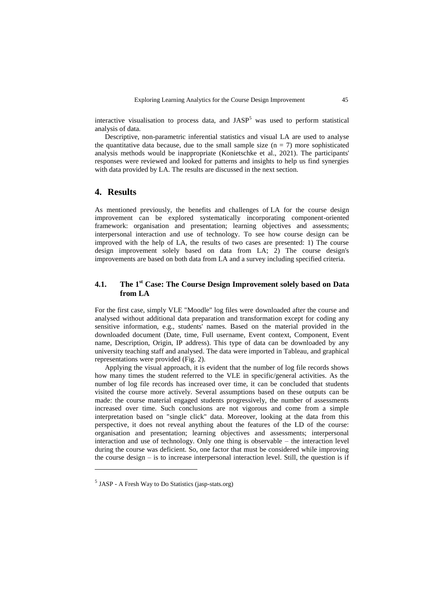interactive visualisation to process data, and  $JASP<sup>5</sup>$  was used to perform statistical analysis of data.

Descriptive, non-parametric inferential statistics and visual LA are used to analyse the quantitative data because, due to the small sample size  $(n = 7)$  more sophisticated analysis methods would be inappropriate (Konietschke et al., 2021). The participants' responses were reviewed and looked for patterns and insights to help us find synergies with data provided by LA. The results are discussed in the next section.

# **4. Results**

As mentioned previously, [the benefits and challenges of](https://www.emerald.com/insight/content/doi/10.1108/IDD-06-2018-0018/full/html) LA for the course design improvement can be explored systematically incorporating component-oriented framework: organisation and presentation; learning objectives and assessments; interpersonal interaction and use of technology. To see how course design can be improved with the help of LA, the results of two cases are presented: 1) The course design improvement solely based on data from LA; 2) The course design's improvements are based on both data from LA and a survey including specified criteria.

# **4.1. The 1 st Case: The Course Design Improvement solely based on Data from LA**

For the first case, simply VLE "Moodle" log files were downloaded after the course and analysed without additional data preparation and transformation except for coding any sensitive information, e.g., students' names. Based on the material provided in the downloaded document (Date, time, Full username, Event context, Component, Event name, Description, Origin, IP address). This type of data can be downloaded by any university teaching staff and analysed. The data were imported in Tableau, and graphical representations were provided (Fig. 2).

Applying the visual approach, it is evident that the number of log file records shows how many times the student referred to the VLE in specific/general activities. As the number of log file records has increased over time, it can be concluded that students visited the course more actively. Several assumptions based on these outputs can be made: the course material engaged students progressively, the number of assessments increased over time. Such conclusions are not vigorous and come from a simple interpretation based on "single click" data. Moreover, looking at the data from this perspective, it does not reveal anything about the features of the LD of the course: organisation and presentation; learning objectives and assessments; interpersonal interaction and use of technology. Only one thing is observable – the interaction level during the course was deficient. So, one factor that must be considered while improving the course design – is to increase interpersonal interaction level. Still, the question is if

 $\overline{a}$ 

<sup>&</sup>lt;sup>5</sup> JASP - [A Fresh Way to Do Statistics \(jasp-stats.org\)](https://jasp-stats.org/)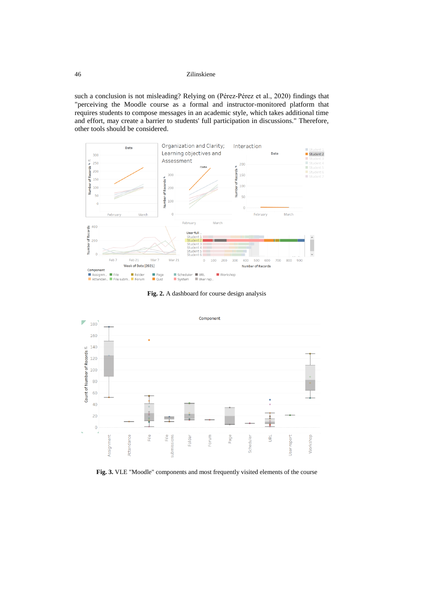such a conclusion is not misleading? Relying on (Pérez-Pérez et al., 2020) findings that "perceiving the Moodle course as a formal and instructor-monitored platform that requires students to compose messages in an academic style, which takes additional time and effort, may create a barrier to students' full participation in discussions." Therefore, other tools should be considered.



**Fig. 2.** A dashboard for course design analysis



**Fig. 3.** VLE "Moodle" components and most frequently visited elements of the course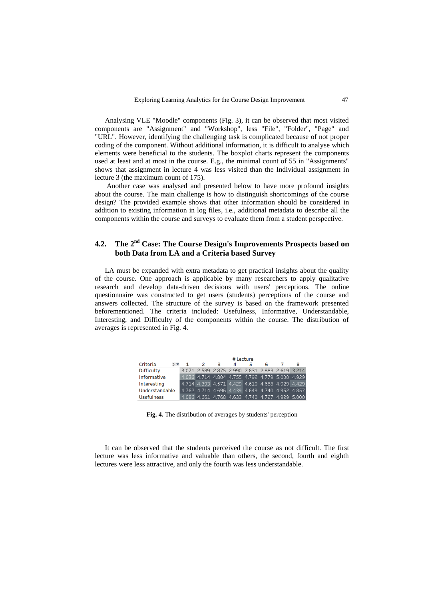Analysing VLE "Moodle" components (Fig. 3), it can be observed that most visited components are "Assignment" and "Workshop", less "File", "Folder", "Page" and "URL". However, identifying the challenging task is complicated because of not proper coding of the component. Without additional information, it is difficult to analyse which elements were beneficial to the students. The boxplot charts represent the components used at least and at most in the course. E.g., the minimal count of 55 in "Assignments" shows that assignment in lecture 4 was less visited than the Individual assignment in lecture 3 (the maximum count of 175).

Another case was analysed and presented below to have more profound insights about the course. The main challenge is how to distinguish shortcomings of the course design? The provided example shows that other information should be considered in addition to existing information in log files, i.e., additional metadata to describe all the components within the course and surveys to evaluate them from a student perspective.

# 4.2. The 2<sup>nd</sup> Case: The Course Design's Improvements Prospects based on **both Data from LA and a Criteria based Survey**

LA must be expanded with extra metadata to get practical insights about the quality of the course. One approach is applicable by many researchers to apply qualitative research and develop data-driven decisions with users' perceptions. The online questionnaire was constructed to get users (students) perceptions of the course and answers collected. The structure of the survey is based on the framework presented beforementioned. The criteria included: Usefulness, Informative, Understandable, Interesting, and Difficulty of the components within the course. The distribution of averages is represented in Fig. 4.

|                   |         | # Lecture |  |    |   |   |   |  |                                                 |
|-------------------|---------|-----------|--|----|---|---|---|--|-------------------------------------------------|
| Criteria          | $4 + 4$ |           |  | -3 | 4 | 5 | 6 |  | 8                                               |
| <b>Difficulty</b> |         |           |  |    |   |   |   |  | 3.071 2.589 2.875 2.990 2.831 2.883 2.619 3.214 |
| Informative       |         |           |  |    |   |   |   |  | 4.036 4.714 4.804 4.755 4.792 4.779 5.000 4.929 |
| Interesting       |         |           |  |    |   |   |   |  | 4.714 4.393 4.571 4.429 4.610 4.688 4.929 4.429 |
| Understandable    |         |           |  |    |   |   |   |  | 4.762 4.714 4.696 4.439 4.649 4.740 4.952 4.857 |
| <b>Usefulness</b> |         |           |  |    |   |   |   |  | 4.086 4.661 4.768 4.633 4.740 4.727 4.929 5.000 |

**Fig. 4.** The distribution of averages by students' perception

It can be observed that the students perceived the course as not difficult. The first lecture was less informative and valuable than others, the second, fourth and eighth lectures were less attractive, and only the fourth was less understandable.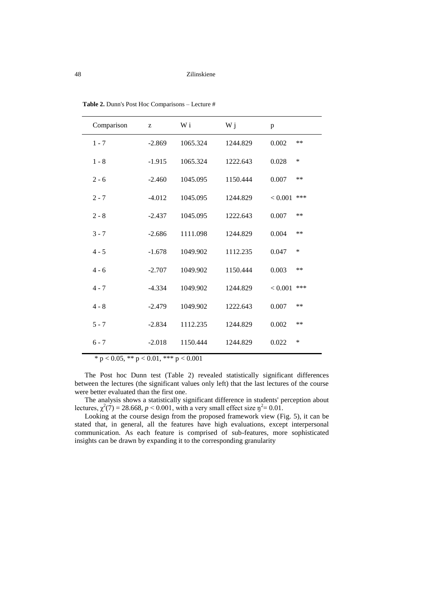| Comparison | Z        | W i      | W j      | p               |
|------------|----------|----------|----------|-----------------|
| $1 - 7$    | $-2.869$ | 1065.324 | 1244.829 | 0.002<br>$**$   |
| $1 - 8$    | $-1.915$ | 1065.324 | 1222.643 | $\ast$<br>0.028 |
| $2 - 6$    | $-2.460$ | 1045.095 | 1150.444 | 0.007<br>$**$   |
| $2 - 7$    | $-4.012$ | 1045.095 | 1244.829 | ***<br>< 0.001  |
| $2 - 8$    | $-2.437$ | 1045.095 | 1222.643 | **<br>0.007     |
| $3 - 7$    | $-2.686$ | 1111.098 | 1244.829 | 0.004<br>$**$   |
| $4 - 5$    | $-1.678$ | 1049.902 | 1112.235 | ∗<br>0.047      |
| $4 - 6$    | $-2.707$ | 1049.902 | 1150.444 | 0.003<br>$**$   |
| $4 - 7$    | $-4.334$ | 1049.902 | 1244.829 | ***<br>< 0.001  |
| $4 - 8$    | $-2.479$ | 1049.902 | 1222.643 | 0.007<br>**     |
| $5 - 7$    | $-2.834$ | 1112.235 | 1244.829 | 0.002<br>**     |
| $6 - 7$    | $-2.018$ | 1150.444 | 1244.829 | *<br>0.022      |

**Table 2.** Dunn's Post Hoc Comparisons – Lecture #

\* p < 0.05, \*\* p < 0.01, \*\*\* p < 0.001

The Post hoc Dunn test (Table 2) revealed statistically significant differences between the lectures (the significant values only left) that the last lectures of the course were better evaluated than the first one.

The analysis shows a statistically significant difference in students' perception about lectures,  $\chi^2(7) = 28.668$ ,  $p < 0.001$ , with a very small effect size  $\eta^2 = 0.01$ .

Looking at the course design from the proposed framework view (Fig. 5), it can be stated that, in general, all the features have high evaluations, except interpersonal communication. As each feature is comprised of sub-features, more sophisticated insights can be drawn by expanding it to the corresponding granularity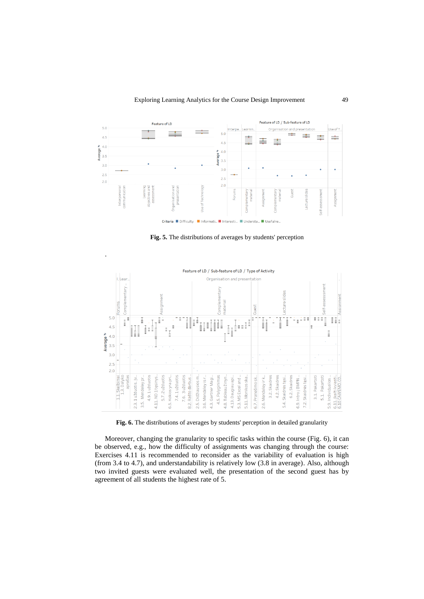

**Fig. 5.** The distributions of averages by students' perception

.



**Fig. 6.** The distributions of averages by students' perception in detailed granularity

Moreover, changing the granularity to specific tasks within the course (Fig. 6), it can be observed, e.g., how the difficulty of assignments was changing through the course: Exercises 4.11 is recommended to reconsider as the variability of evaluation is high (from 3.4 to 4.7), and understandability is relatively low (3.8 in average). Also, although two invited guests were evaluated well, the presentation of the second guest has by agreement of all students the highest rate of 5.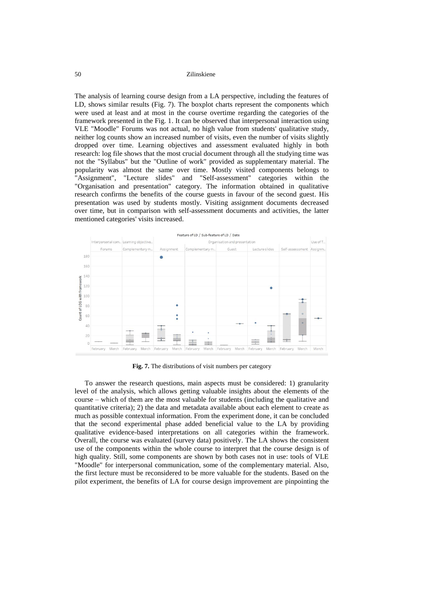The analysis of learning course design from a LA perspective, including the features of LD, shows similar results (Fig. 7). The boxplot charts represent the components which were used at least and at most in the course overtime regarding the categories of the framework presented in the Fig. 1. It can be observed that interpersonal interaction using VLE "Moodle" Forums was not actual, no high value from students' qualitative study, neither log counts show an increased number of visits, even the number of visits slightly dropped over time. Learning objectives and assessment evaluated highly in both research: log file shows that the most crucial document through all the studying time was not the "Syllabus" but the "Outline of work" provided as supplementary material. The popularity was almost the same over time. Mostly visited components belongs to "Assignment", "Lecture slides" and "Self-assessment" categories within the "Organisation and presentation" category. The information obtained in qualitative research confirms the benefits of the course guests in favour of the second guest. His presentation was used by students mostly. Visiting assignment documents decreased over time, but in comparison with self-assessment documents and activities, the latter mentioned categories' visits increased.



**Fig. 7.** The distributions of visit numbers per category

To answer the research questions, main aspects must be considered: 1) granularity level of the analysis, which allows getting valuable insights about the elements of the course – which of them are the most valuable for students (including the qualitative and quantitative criteria); 2) the data and metadata available about each element to create as much as possible contextual information. From the experiment done, it can be concluded that the second experimental phase added beneficial value to the LA by providing qualitative evidence-based interpretations on all categories within the framework. Overall, the course was evaluated (survey data) positively. The LA shows the consistent use of the components within the whole course to interpret that the course design is of high quality. Still, some components are shown by both cases not in use: tools of VLE "Moodle" for interpersonal communication, some of the complementary material. Also, the first lecture must be reconsidered to be more valuable for the students. Based on the pilot experiment, the benefits of LA for course design improvement are pinpointing the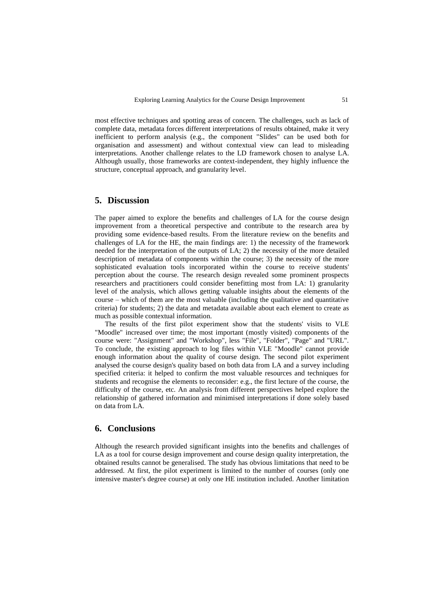most effective techniques and spotting areas of concern. The challenges, such as lack of complete data, metadata forces different interpretations of results obtained, make it very inefficient to perform analysis (e.g., the component "Slides" can be used both for organisation and assessment) and without contextual view can lead to misleading interpretations. Another challenge relates to the LD framework chosen to analyse LA. Although usually, those frameworks are context-independent, they highly influence the structure, conceptual approach, and granularity level.

# **5. Discussion**

The paper aimed to [explore the benefits and challenges of](https://www.emerald.com/insight/content/doi/10.1108/IDD-06-2018-0018/full/html) LA for the course design improvement from a theoretical perspective and contribute to the research area by providing some evidence-based results. From the literature review on the benefits and challenges of LA for the HE, the main findings are: 1) the necessity of the framework needed for the interpretation of the outputs of LA; 2) the necessity of the more detailed description of metadata of components within the course; 3) the necessity of the more sophisticated evaluation tools incorporated within the course to receive students' perception about the course. The research design revealed some prominent prospects researchers and practitioners could consider benefitting most from LA: 1) granularity level of the analysis, which allows getting valuable insights about the elements of the course – which of them are the most valuable (including the qualitative and quantitative criteria) for students; 2) the data and metadata available about each element to create as much as possible contextual information.

The results of the first pilot experiment show that the students' visits to VLE "Moodle" increased over time; the most important (mostly visited) components of the course were: "Assignment" and "Workshop", less "File", "Folder", "Page" and "URL". To conclude, the existing approach to log files within VLE "Moodle" cannot provide enough information about the quality of course design. The second pilot experiment analysed the course design's quality based on both data from LA and a survey including specified criteria: it helped to confirm the most valuable resources and techniques for students and recognise the elements to reconsider: e.g., the first lecture of the course, the difficulty of the course, etc. An analysis from different perspectives helped explore the relationship of gathered information and minimised interpretations if done solely based on data from LA.

# **6. Conclusions**

Although the research provided significant insights into the benefits and challenges of LA as a tool for course design improvement and course design quality interpretation, the obtained results cannot be generalised. The study has obvious limitations that need to be addressed. At first, the pilot experiment is limited to the number of courses (only one intensive master's degree course) at only one HE institution included. Another limitation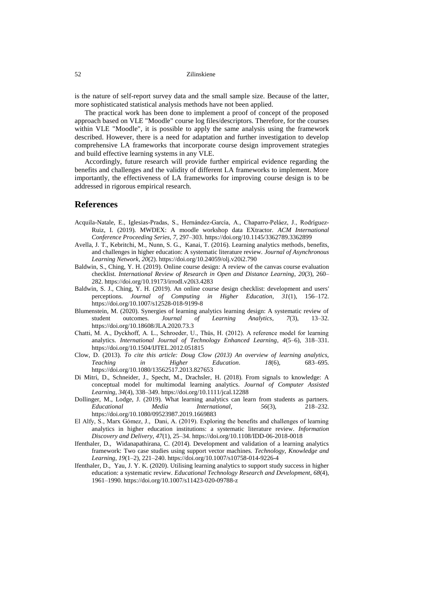is the nature of self-report survey data and the small sample size. Because of the latter, more sophisticated statistical analysis methods have not been applied.

The practical work has been done to implement a proof of concept of the proposed approach based on VLE "Moodle" course log files/descriptors. Therefore, for the courses within VLE "Moodle", it is possible to apply the same analysis using the framework described. However, there is a need for adaptation and further investigation to develop comprehensive LA frameworks that incorporate course design improvement strategies and build effective learning systems in any VLE.

Accordingly, future research will provide further empirical evidence regarding the benefits and challenges and the validity of different LA frameworks to implement. More importantly, the effectiveness of LA frameworks for improving course design is to be addressed in rigorous empirical research.

### **References**

- Acquila-Natale, E., Iglesias-Pradas, S., Hernández-García, A., Chaparro-Peláez, J., Rodríguez-Ruiz, I. (2019). MWDEX: A moodle workshop data EXtractor. *ACM International Conference Proceeding Series*, *7*, 297–303. https://doi.org/10.1145/3362789.3362899
- Avella, J. T., Kebritchi, M., Nunn, S. G., Kanai, T. (2016). Learning analytics methods, benefits, and challenges in higher education: A systematic literature review. *Journal of Asynchronous Learning Network*, *20*(2). https://doi.org/10.24059/olj.v20i2.790
- Baldwin, S., Ching, Y. H. (2019). Online course design: A review of the canvas course evaluation checklist. *International Review of Research in Open and Distance Learning*, *20*(3), 260– 282. https://doi.org/10.19173/irrodl.v20i3.4283
- Baldwin, S. J., Ching, Y. H. (2019). An online course design checklist: development and users' perceptions. *Journal of Computing in Higher Education*, *31*(1), 156–172. https://doi.org/10.1007/s12528-018-9199-8
- Blumenstein, M. (2020). Synergies of learning analytics learning design: A systematic review of student outcomes. *Journal of Learning Analytics*, *7*(3), 13–32. https://doi.org/10.18608/JLA.2020.73.3
- Chatti, M. A., Dyckhoff, A. L., Schroeder, U., Thüs, H. (2012). A reference model for learning analytics. *International Journal of Technology Enhanced Learning*, *4*(5–6), 318–331. https://doi.org/10.1504/IJTEL.2012.051815
- Clow, D. (2013). *To cite this article: Doug Clow (2013) An overview of learning analytics, Teaching in Higher Education*. *18*(6), 683–695. https://doi.org/10.1080/13562517.2013.827653
- Di Mitri, D., Schneider, J., Specht, M., Drachsler, H. (2018). From signals to knowledge: A conceptual model for multimodal learning analytics. *Journal of Computer Assisted Learning*, *34*(4), 338–349. https://doi.org/10.1111/jcal.12288
- Dollinger, M., Lodge, J. (2019). What learning analytics can learn from students as partners. *Educational Media International*, *56*(3), 218–232. https://doi.org/10.1080/09523987.2019.1669883
- El Alfy, S., Marx Gómez, J., Dani, A. (2019). Exploring the benefits and challenges of learning analytics in higher education institutions: a systematic literature review. *Information Discovery and Delivery*, *47*(1), 25–34. https://doi.org/10.1108/IDD-06-2018-0018
- Ifenthaler, D., Widanapathirana, C. (2014). Development and validation of a learning analytics framework: Two case studies using support vector machines. *Technology, Knowledge and Learning*, *19*(1–2), 221–240. https://doi.org/10.1007/s10758-014-9226-4
- Ifenthaler, D., Yau, J. Y. K. (2020). Utilising learning analytics to support study success in higher education: a systematic review. *Educational Technology Research and Development*, *68*(4), 1961–1990. https://doi.org/10.1007/s11423-020-09788-z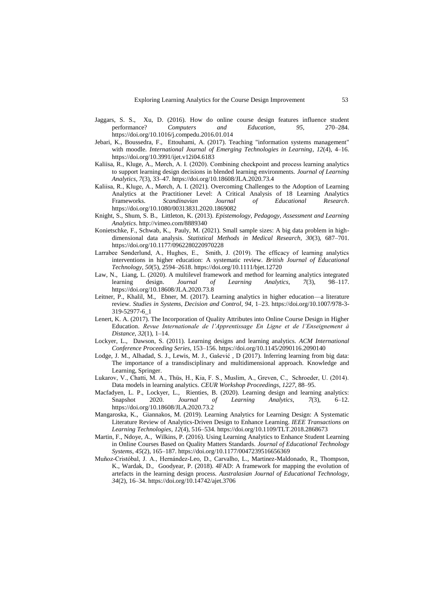- Jaggars, S. S., Xu, D. (2016). How do online course design features influence student performance? *Computers and Education*, *95*, 270–284. https://doi.org/10.1016/j.compedu.2016.01.014
- Jebari, K., Boussedra, F., Ettouhami, A. (2017). Teaching "information systems management" with moodle. *International Journal of Emerging Technologies in Learning*, *12*(4), 4–16. https://doi.org/10.3991/ijet.v12i04.6183
- Kaliisa, R., Kluge, A., Mørch, A. I. (2020). Combining checkpoint and process learning analytics to support learning design decisions in blended learning environments. *Journal of Learning Analytics*, *7*(3), 33–47. https://doi.org/10.18608/JLA.2020.73.4
- Kaliisa, R., Kluge, A., Mørch, A. I. (2021). Overcoming Challenges to the Adoption of Learning Analytics at the Practitioner Level: A Critical Analysis of 18 Learning Analytics Frameworks. *Scandinavian Journal of Educational Research*. https://doi.org/10.1080/00313831.2020.1869082
- Knight, S., Shum, S. B., Littleton, K. (2013). *Epistemology, Pedagogy, Assessment and Learning Analytics*. http://vimeo.com/8889340
- Konietschke, F., Schwab, K., Pauly, M. (2021). Small sample sizes: A big data problem in highdimensional data analysis. *Statistical Methods in Medical Research*, *30*(3), 687–701. https://doi.org/10.1177/0962280220970228
- Larrabee Sønderlund, A., Hughes, E., Smith, J. (2019). The efficacy of learning analytics interventions in higher education: A systematic review. *British Journal of Educational Technology*, *50*(5), 2594–2618. https://doi.org/10.1111/bjet.12720
- Law, N., Liang, L. (2020). A multilevel framework and method for learning analytics integrated learning design. *Journal of Learning Analytics*, *7*(3), 98–117. https://doi.org/10.18608/JLA.2020.73.8
- Leitner, P., Khalil, M., Ebner, M. (2017). Learning analytics in higher education—a literature review. *Studies in Systems, Decision and Control*, *94*, 1–23. https://doi.org/10.1007/978-3- 319-52977-6\_1
- Lenert, K. A. (2017). The Incorporation of Quality Attributes into Online Course Design in Higher Education. *Revue Internationale de l'Apprentissage En Ligne et de l'Enseignement à Distance*, *32*(1), 1–14.
- Lockyer, L., Dawson, S. (2011). Learning designs and learning analytics. *ACM International Conference Proceeding Series*, 153–156. https://doi.org/10.1145/2090116.2090140
- Lodge, J. M., Alhadad, S. J., Lewis, M. J., Gašević , D (2017). Inferring learning from big data: The importance of a transdisciplinary and multidimensional approach. Knowledge and Learning, Springer.
- Lukarov, V., Chatti, M. A., Thüs, H., Kia, F. S., Muslim, A., Greven, C., Schroeder, U. (2014). Data models in learning analytics. *CEUR Workshop Proceedings*, *1227*, 88–95.
- Macfadyen, L. P., Lockyer, L., Rienties, B. (2020). Learning design and learning analytics: Snapshot 2020. *Journal of Learning Analytics*, *7*(3), 6–12. https://doi.org/10.18608/JLA.2020.73.2
- Mangaroska, K., Giannakos, M. (2019). Learning Analytics for Learning Design: A Systematic Literature Review of Analytics-Driven Design to Enhance Learning. *IEEE Transactions on Learning Technologies*, *12*(4), 516–534. https://doi.org/10.1109/TLT.2018.2868673
- Martin, F., Ndoye, A., Wilkins, P. (2016). Using Learning Analytics to Enhance Student Learning in Online Courses Based on Quality Matters Standards. *Journal of Educational Technology Systems*, *45*(2), 165–187. https://doi.org/10.1177/0047239516656369
- Muñoz-Cristóbal, J. A., Hernández-Leo, D., Carvalho, L., Martinez-Maldonado, R., Thompson, K., Wardak, D., Goodyear, P. (2018). 4FAD: A framework for mapping the evolution of artefacts in the learning design process. *Australasian Journal of Educational Technology*, *34*(2), 16–34. https://doi.org/10.14742/ajet.3706